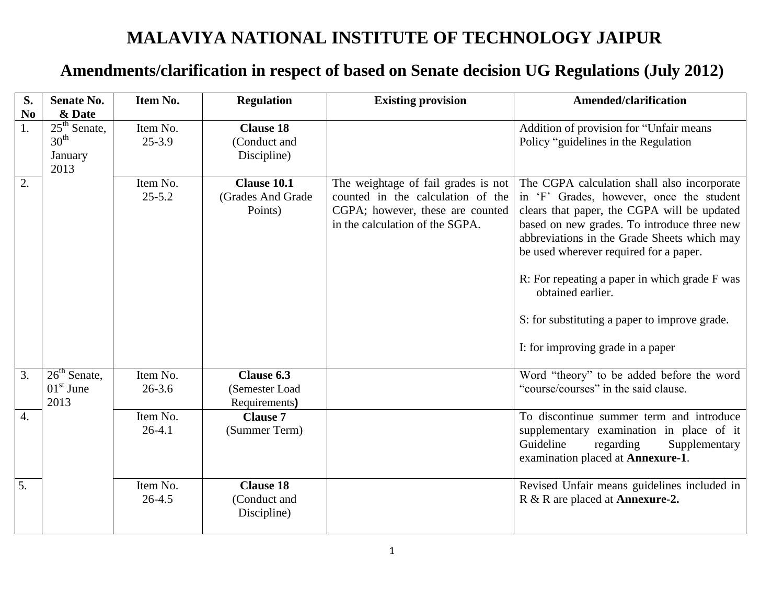## **MALAVIYA NATIONAL INSTITUTE OF TECHNOLOGY JAIPUR**

## **Amendments/clarification in respect of based on Senate decision UG Regulations (July 2012)**

| S.               | <b>Senate No.</b>                                     | Item No.                   | <b>Regulation</b>                               | <b>Existing provision</b>                                                                                                                       | <b>Amended/clarification</b>                                                                                                                                                                                                                                                                                                                                                                                                               |
|------------------|-------------------------------------------------------|----------------------------|-------------------------------------------------|-------------------------------------------------------------------------------------------------------------------------------------------------|--------------------------------------------------------------------------------------------------------------------------------------------------------------------------------------------------------------------------------------------------------------------------------------------------------------------------------------------------------------------------------------------------------------------------------------------|
| $\bf No$         | & Date                                                |                            |                                                 |                                                                                                                                                 |                                                                                                                                                                                                                                                                                                                                                                                                                                            |
| 1.               | $25th$ Senate,<br>$30^{\text{th}}$<br>January<br>2013 | Item No.<br>$25 - 3.9$     | <b>Clause 18</b><br>(Conduct and<br>Discipline) |                                                                                                                                                 | Addition of provision for "Unfair means<br>Policy "guidelines in the Regulation"                                                                                                                                                                                                                                                                                                                                                           |
| 2.               |                                                       | Item No.<br>$25 - 5.2$     | Clause 10.1<br>(Grades And Grade<br>Points)     | The weightage of fail grades is not<br>counted in the calculation of the<br>CGPA; however, these are counted<br>in the calculation of the SGPA. | The CGPA calculation shall also incorporate<br>in 'F' Grades, however, once the student<br>clears that paper, the CGPA will be updated<br>based on new grades. To introduce three new<br>abbreviations in the Grade Sheets which may<br>be used wherever required for a paper.<br>R: For repeating a paper in which grade F was<br>obtained earlier.<br>S: for substituting a paper to improve grade.<br>I: for improving grade in a paper |
| 3.               | $26th$ Senate,<br>$01st$ June<br>2013                 | Item No.<br>$26 - 3.6$     | Clause 6.3<br>(Semester Load<br>Requirements)   |                                                                                                                                                 | Word "theory" to be added before the word<br>"course/courses" in the said clause.                                                                                                                                                                                                                                                                                                                                                          |
| $\overline{4}$ . |                                                       | Item No.<br>$26-4.1$       | <b>Clause 7</b><br>(Summer Term)                |                                                                                                                                                 | To discontinue summer term and introduce<br>supplementary examination in place of it<br>Guideline<br>regarding<br>Supplementary<br>examination placed at Annexure-1.                                                                                                                                                                                                                                                                       |
| 5.               |                                                       | Item $N_0$ .<br>$26 - 4.5$ | <b>Clause 18</b><br>(Conduct and<br>Discipline) |                                                                                                                                                 | Revised Unfair means guidelines included in<br>R & R are placed at <b>Annexure-2.</b>                                                                                                                                                                                                                                                                                                                                                      |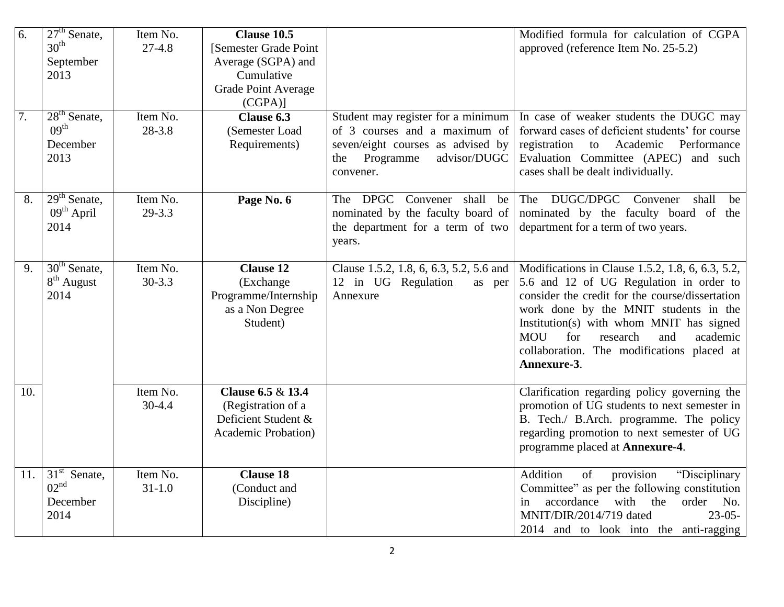| 6.               | $27th$ Senate,<br>$30^{\text{th}}$<br>September<br>2013 | Item No.<br>$27-4.8$   | Clause 10.5<br>[Semester Grade Point<br>Average (SGPA) and<br>Cumulative<br><b>Grade Point Average</b><br>$(CGPA)$ ] |                                                                                                                                                           | Modified formula for calculation of CGPA<br>approved (reference Item No. 25-5.2)                                                                                                                                                                                                                                                                     |
|------------------|---------------------------------------------------------|------------------------|----------------------------------------------------------------------------------------------------------------------|-----------------------------------------------------------------------------------------------------------------------------------------------------------|------------------------------------------------------------------------------------------------------------------------------------------------------------------------------------------------------------------------------------------------------------------------------------------------------------------------------------------------------|
| $\overline{7}$ . | $28th$ Senate,<br>09 <sup>th</sup><br>December<br>2013  | Item No.<br>$28 - 3.8$ | Clause 6.3<br>(Semester Load<br>Requirements)                                                                        | Student may register for a minimum<br>of 3 courses and a maximum of<br>seven/eight courses as advised by<br>advisor/DUGC<br>Programme<br>the<br>convener. | In case of weaker students the DUGC may<br>forward cases of deficient students' for course<br>registration<br>Academic<br>Performance<br>to<br>Evaluation Committee (APEC) and such<br>cases shall be dealt individually.                                                                                                                            |
| 8.               | $29th$ Senate,<br>09 <sup>th</sup> April<br>2014        | Item No.<br>$29 - 3.3$ | Page No. 6                                                                                                           | The DPGC Convener<br>shall<br>be<br>nominated by the faculty board of<br>the department for a term of two<br>years.                                       | The DUGC/DPGC Convener<br>shall<br>be<br>nominated by the faculty board of the<br>department for a term of two years.                                                                                                                                                                                                                                |
| 9.               | $30th$ Senate,<br>$8th$ August<br>2014                  | Item No.<br>$30 - 3.3$ | <b>Clause 12</b><br>(Exchange<br>Programme/Internship<br>as a Non Degree<br>Student)                                 | Clause 1.5.2, 1.8, 6, 6.3, 5.2, 5.6 and<br>12 in UG Regulation<br>as per<br>Annexure                                                                      | Modifications in Clause 1.5.2, 1.8, 6, 6.3, 5.2,<br>5.6 and 12 of UG Regulation in order to<br>consider the credit for the course/dissertation<br>work done by the MNIT students in the<br>Institution(s) with whom MNIT has signed<br><b>MOU</b><br>for<br>research<br>and<br>academic<br>collaboration. The modifications placed at<br>Annexure-3. |
| 10.              |                                                         | Item No.<br>$30-4.4$   | Clause 6.5 & 13.4<br>(Registration of a<br>Deficient Student &<br><b>Academic Probation</b> )                        |                                                                                                                                                           | Clarification regarding policy governing the<br>promotion of UG students to next semester in<br>B. Tech./ B.Arch. programme. The policy<br>regarding promotion to next semester of UG<br>programme placed at <b>Annexure-4</b> .                                                                                                                     |
| 11.              | $31st$ Senate,<br>02 <sup>nd</sup><br>December<br>2014  | Item No.<br>$31 - 1.0$ | <b>Clause 18</b><br>(Conduct and<br>Discipline)                                                                      |                                                                                                                                                           | provision<br>"Disciplinary<br>Addition<br>of<br>Committee" as per the following constitution<br>accordance<br>with<br>the<br>No.<br>order<br>in<br>MNIT/DIR/2014/719 dated<br>$23 - 05 -$<br>2014 and to look into the anti-ragging                                                                                                                  |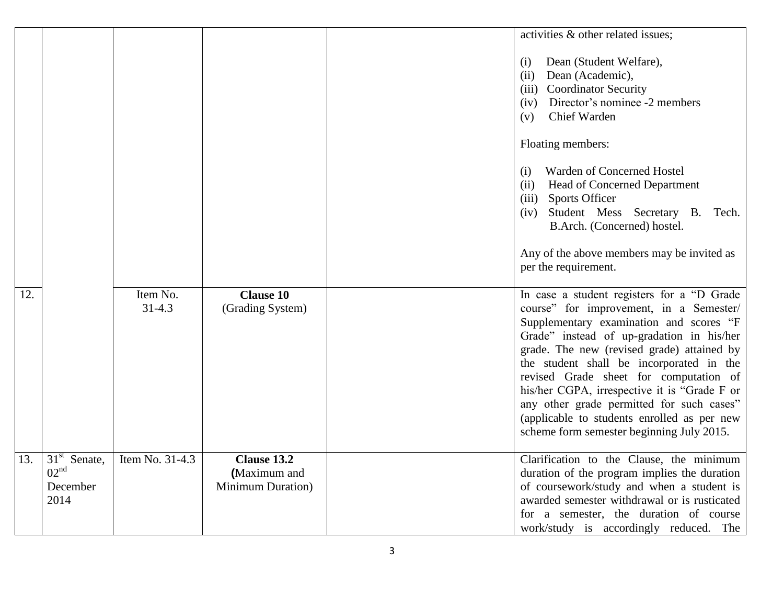|     |                                                              |                        |                                                          | activities & other related issues;                                                                                                                                                                                                                                                                                                                                                                                                                                                                          |
|-----|--------------------------------------------------------------|------------------------|----------------------------------------------------------|-------------------------------------------------------------------------------------------------------------------------------------------------------------------------------------------------------------------------------------------------------------------------------------------------------------------------------------------------------------------------------------------------------------------------------------------------------------------------------------------------------------|
|     |                                                              |                        |                                                          | Dean (Student Welfare),<br>(i)<br>Dean (Academic),<br>(ii)<br><b>Coordinator Security</b><br>(iii)<br>Director's nominee -2 members<br>(iv)<br>Chief Warden<br>(v)                                                                                                                                                                                                                                                                                                                                          |
|     |                                                              |                        |                                                          | Floating members:                                                                                                                                                                                                                                                                                                                                                                                                                                                                                           |
|     |                                                              |                        |                                                          | Warden of Concerned Hostel<br>(i)<br>Head of Concerned Department<br>(ii)<br><b>Sports Officer</b><br>(iii)<br>Student Mess Secretary B. Tech.<br>(iv)<br>B.Arch. (Concerned) hostel.                                                                                                                                                                                                                                                                                                                       |
|     |                                                              |                        |                                                          | Any of the above members may be invited as<br>per the requirement.                                                                                                                                                                                                                                                                                                                                                                                                                                          |
| 12. |                                                              | Item No.<br>$31 - 4.3$ | <b>Clause 10</b><br>(Grading System)                     | In case a student registers for a "D Grade"<br>course" for improvement, in a Semester/<br>Supplementary examination and scores "F<br>Grade" instead of up-gradation in his/her<br>grade. The new (revised grade) attained by<br>the student shall be incorporated in the<br>revised Grade sheet for computation of<br>his/her CGPA, irrespective it is "Grade F or<br>any other grade permitted for such cases"<br>(applicable to students enrolled as per new<br>scheme form semester beginning July 2015. |
| 13. | $31^{st}$<br>Senate,<br>02 <sup>nd</sup><br>December<br>2014 | Item No. 31-4.3        | Clause 13.2<br>(Maximum and<br><b>Minimum Duration</b> ) | Clarification to the Clause, the minimum<br>duration of the program implies the duration<br>of coursework/study and when a student is<br>awarded semester withdrawal or is rusticated<br>for a semester, the duration of course<br>work/study is accordingly reduced. The                                                                                                                                                                                                                                   |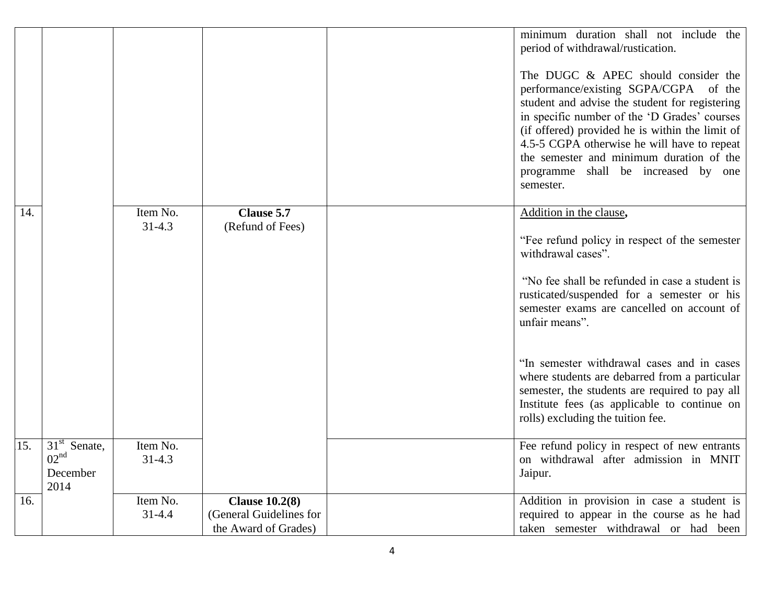|     |                                                        |                        |                                                                          | minimum duration shall not include the<br>period of withdrawal/rustication.<br>The DUGC & APEC should consider the<br>performance/existing SGPA/CGPA of the<br>student and advise the student for registering<br>in specific number of the 'D Grades' courses<br>(if offered) provided he is within the limit of<br>4.5-5 CGPA otherwise he will have to repeat<br>the semester and minimum duration of the<br>programme shall be increased by one<br>semester. |
|-----|--------------------------------------------------------|------------------------|--------------------------------------------------------------------------|-----------------------------------------------------------------------------------------------------------------------------------------------------------------------------------------------------------------------------------------------------------------------------------------------------------------------------------------------------------------------------------------------------------------------------------------------------------------|
| 14. |                                                        | Item No.<br>$31 - 4.3$ | Clause 5.7<br>(Refund of Fees)                                           | Addition in the clause,<br>"Fee refund policy in respect of the semester<br>withdrawal cases".<br>"No fee shall be refunded in case a student is<br>rusticated/suspended for a semester or his<br>semester exams are cancelled on account of<br>unfair means".<br>"In semester withdrawal cases and in cases                                                                                                                                                    |
|     |                                                        |                        |                                                                          | where students are debarred from a particular<br>semester, the students are required to pay all<br>Institute fees (as applicable to continue on<br>rolls) excluding the tuition fee.                                                                                                                                                                                                                                                                            |
| 15. | $31st$ Senate,<br>02 <sup>nd</sup><br>December<br>2014 | Item No.<br>$31 - 4.3$ |                                                                          | Fee refund policy in respect of new entrants<br>on withdrawal after admission in MNIT<br>Jaipur.                                                                                                                                                                                                                                                                                                                                                                |
| 16. |                                                        | Item No.<br>$31 - 4.4$ | <b>Clause 10.2(8)</b><br>(General Guidelines for<br>the Award of Grades) | Addition in provision in case a student is<br>required to appear in the course as he had<br>taken semester withdrawal or had been                                                                                                                                                                                                                                                                                                                               |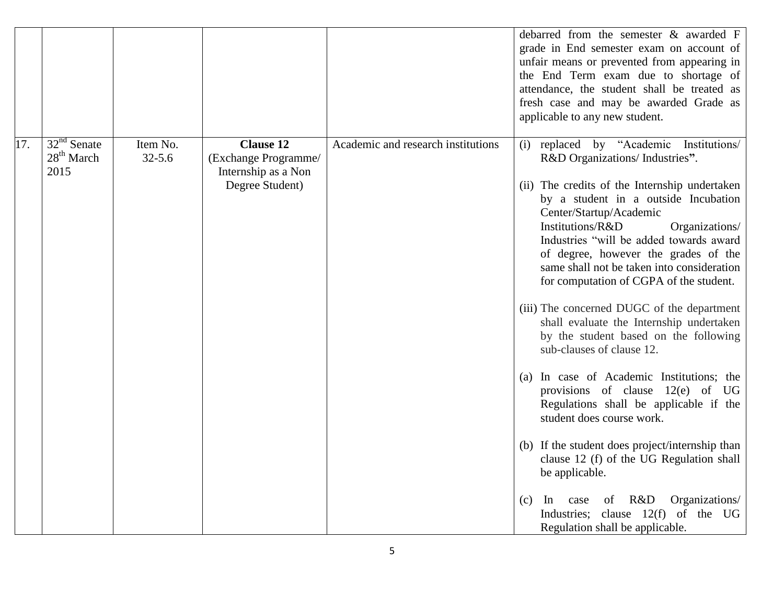|     |                                       |                        |                                                                                    |                                    | debarred from the semester $\&$ awarded $F$<br>grade in End semester exam on account of<br>unfair means or prevented from appearing in<br>the End Term exam due to shortage of<br>attendance, the student shall be treated as<br>fresh case and may be awarded Grade as<br>applicable to any new student.                                                                                                                                                                                                                                                                                                                                                                                                                                                                                                                                                                                                                                                                                                    |
|-----|---------------------------------------|------------------------|------------------------------------------------------------------------------------|------------------------------------|--------------------------------------------------------------------------------------------------------------------------------------------------------------------------------------------------------------------------------------------------------------------------------------------------------------------------------------------------------------------------------------------------------------------------------------------------------------------------------------------------------------------------------------------------------------------------------------------------------------------------------------------------------------------------------------------------------------------------------------------------------------------------------------------------------------------------------------------------------------------------------------------------------------------------------------------------------------------------------------------------------------|
| 17. | $32nd$ Senate<br>$28th$ March<br>2015 | Item No.<br>$32 - 5.6$ | <b>Clause 12</b><br>(Exchange Programme/<br>Internship as a Non<br>Degree Student) | Academic and research institutions | replaced by "Academic Institutions/<br>(i)<br>R&D Organizations/ Industries".<br>(ii) The credits of the Internship undertaken<br>by a student in a outside Incubation<br>Center/Startup/Academic<br>Institutions/R&D<br>Organizations/<br>Industries "will be added towards award<br>of degree, however the grades of the<br>same shall not be taken into consideration<br>for computation of CGPA of the student.<br>(iii) The concerned DUGC of the department<br>shall evaluate the Internship undertaken<br>by the student based on the following<br>sub-clauses of clause 12.<br>In case of Academic Institutions; the<br>(a)<br>provisions of clause $12(e)$ of<br>UG<br>Regulations shall be applicable if the<br>student does course work.<br>(b) If the student does project/internship than<br>clause 12 (f) of the UG Regulation shall<br>be applicable.<br>R&D<br>Organizations/<br><sub>In</sub><br>case<br>of<br>(c)<br>Industries; clause 12(f) of the UG<br>Regulation shall be applicable. |